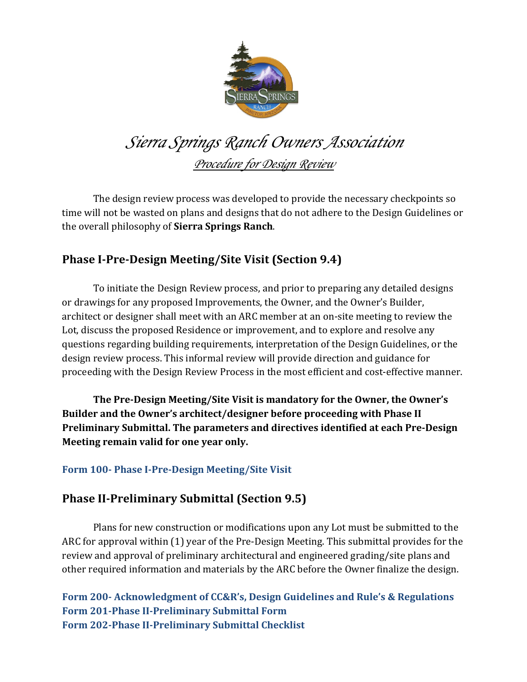

# *Sierra Springs Ranch Owners Association Procedure for Design Review*

The design review process was developed to provide the necessary checkpoints so time will not be wasted on plans and designs that do not adhere to the Design Guidelines or the overall philosophy of **Sierra Springs Ranch**.

## **Phase I-Pre-Design Meeting/Site Visit (Section 9.4)**

To initiate the Design Review process, and prior to preparing any detailed designs or drawings for any proposed Improvements, the Owner, and the Owner's Builder, architect or designer shall meet with an ARC member at an on-site meeting to review the Lot, discuss the proposed Residence or improvement, and to explore and resolve any questions regarding building requirements, interpretation of the Design Guidelines, or the design review process. This informal review will provide direction and guidance for proceeding with the Design Review Process in the most efficient and cost-effective manner.

The Pre-Design Meeting/Site Visit is mandatory for the Owner, the Owner's Builder and the Owner's architect/designer before proceeding with Phase II **Preliminary Submittal. The parameters and directives identified at each Pre-Design Meeting remain valid for one year only.** 

### **Form 100- Phase I-Pre-Design Meeting/Site Visit**

## **Phase II-Preliminary Submittal (Section 9.5)**

Plans for new construction or modifications upon any Lot must be submitted to the ARC for approval within (1) year of the Pre-Design Meeting. This submittal provides for the review and approval of preliminary architectural and engineered grading/site plans and other required information and materials by the ARC before the Owner finalize the design.

**Form 200-** Acknowledgment of CC&R's, Design Guidelines and Rule's & Regulations **Form 201-Phase II-Preliminary Submittal Form Form 202-Phase II-Preliminary Submittal Checklist**